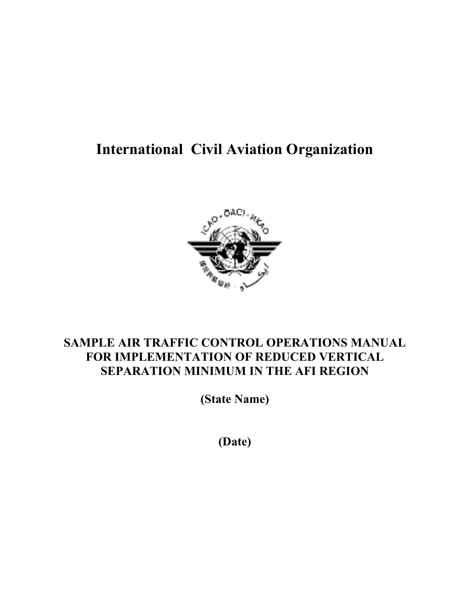# **International Civil Aviation Organization**



## **SAMPLE AIR TRAFFIC CONTROL OPERATIONS MANUAL FOR IMPLEMENTATION OF REDUCED VERTICAL SEPARATION MINIMUM IN THE AFI REGION**

**(State Name)** 

**(Date)**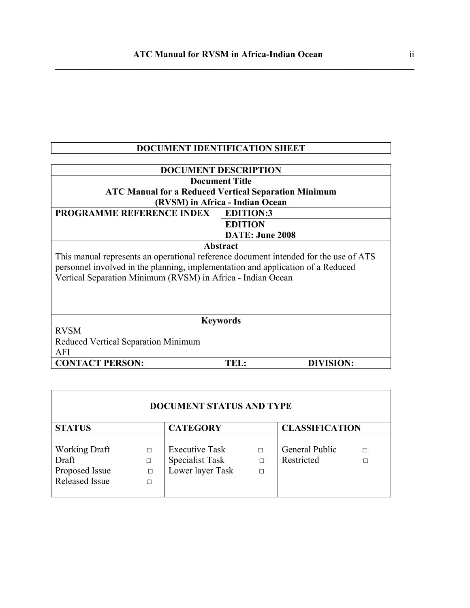## **DOCUMENT IDENTIFICATION SHEET**

| <b>DOCUMENT DESCRIPTION</b>                                                          |                                 |           |  |  |  |  |
|--------------------------------------------------------------------------------------|---------------------------------|-----------|--|--|--|--|
| <b>Document Title</b>                                                                |                                 |           |  |  |  |  |
|                                                                                      |                                 |           |  |  |  |  |
| <b>ATC Manual for a Reduced Vertical Separation Minimum</b>                          |                                 |           |  |  |  |  |
|                                                                                      | (RVSM) in Africa - Indian Ocean |           |  |  |  |  |
| <b>PROGRAMME REFERENCE INDEX</b>                                                     | <b>EDITION:3</b>                |           |  |  |  |  |
|                                                                                      | <b>EDITION</b>                  |           |  |  |  |  |
|                                                                                      | DATE: June 2008                 |           |  |  |  |  |
|                                                                                      | Abstract                        |           |  |  |  |  |
| This manual represents an operational reference document intended for the use of ATS |                                 |           |  |  |  |  |
| personnel involved in the planning, implementation and application of a Reduced      |                                 |           |  |  |  |  |
| Vertical Separation Minimum (RVSM) in Africa - Indian Ocean                          |                                 |           |  |  |  |  |
|                                                                                      |                                 |           |  |  |  |  |
|                                                                                      |                                 |           |  |  |  |  |
|                                                                                      |                                 |           |  |  |  |  |
|                                                                                      |                                 |           |  |  |  |  |
| <b>Keywords</b>                                                                      |                                 |           |  |  |  |  |
| <b>RVSM</b>                                                                          |                                 |           |  |  |  |  |
| Reduced Vertical Separation Minimum                                                  |                                 |           |  |  |  |  |
| AFI                                                                                  |                                 |           |  |  |  |  |
| <b>CONTACT PERSON:</b>                                                               | TEL:                            | DIVISION: |  |  |  |  |

| <b>STATUS</b>         |        | <b>CATEGORY</b>       |        | <b>CLASSIFICATION</b> |   |
|-----------------------|--------|-----------------------|--------|-----------------------|---|
|                       |        |                       |        |                       |   |
| <b>Working Draft</b>  | П      | <b>Executive Task</b> | П      | General Public        | П |
| Draft                 | П      | Specialist Task       | П      | Restricted            | п |
| Proposed Issue        | $\Box$ | Lower layer Task      | $\Box$ |                       |   |
| <b>Released Issue</b> | П      |                       |        |                       |   |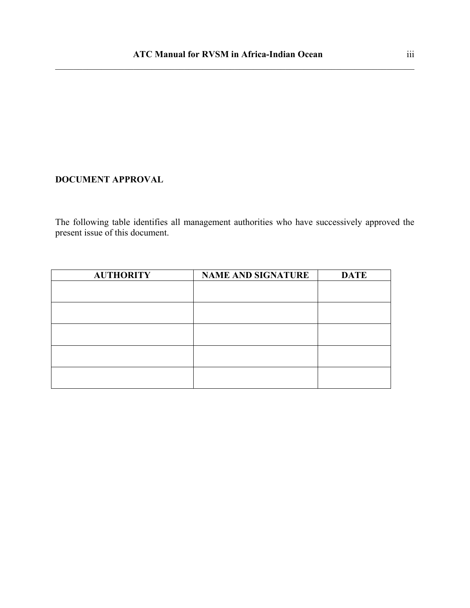#### **DOCUMENT APPROVAL**

The following table identifies all management authorities who have successively approved the present issue of this document.

| <b>AUTHORITY</b> | <b>NAME AND SIGNATURE</b> | <b>DATE</b> |
|------------------|---------------------------|-------------|
|                  |                           |             |
|                  |                           |             |
|                  |                           |             |
|                  |                           |             |
|                  |                           |             |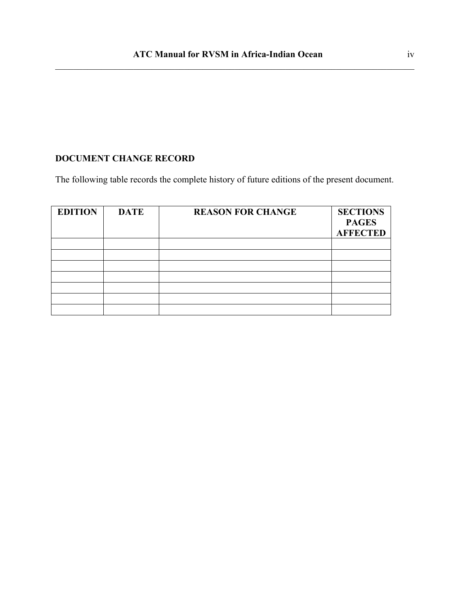## **DOCUMENT CHANGE RECORD**

The following table records the complete history of future editions of the present document.

| <b>EDITION</b> | <b>DATE</b> | <b>REASON FOR CHANGE</b> | <b>SECTIONS</b><br><b>PAGES</b><br><b>AFFECTED</b> |
|----------------|-------------|--------------------------|----------------------------------------------------|
|                |             |                          |                                                    |
|                |             |                          |                                                    |
|                |             |                          |                                                    |
|                |             |                          |                                                    |
|                |             |                          |                                                    |
|                |             |                          |                                                    |
|                |             |                          |                                                    |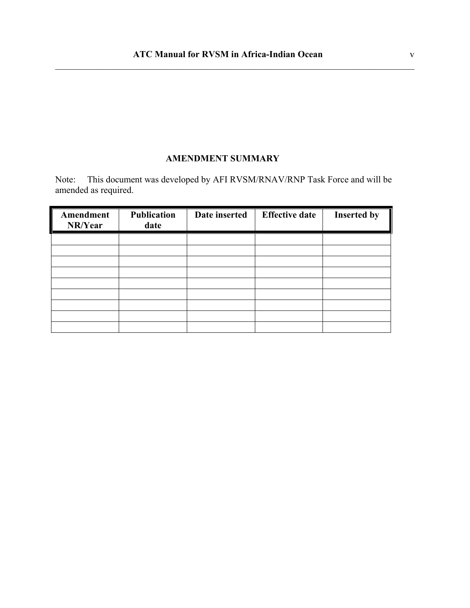#### **AMENDMENT SUMMARY**

Note: This document was developed by AFI RVSM/RNAV/RNP Task Force and will be amended as required.

| Amendment<br>NR/Year | <b>Publication</b><br>date | Date inserted | <b>Effective date</b> | <b>Inserted by</b> |
|----------------------|----------------------------|---------------|-----------------------|--------------------|
|                      |                            |               |                       |                    |
|                      |                            |               |                       |                    |
|                      |                            |               |                       |                    |
|                      |                            |               |                       |                    |
|                      |                            |               |                       |                    |
|                      |                            |               |                       |                    |
|                      |                            |               |                       |                    |
|                      |                            |               |                       |                    |
|                      |                            |               |                       |                    |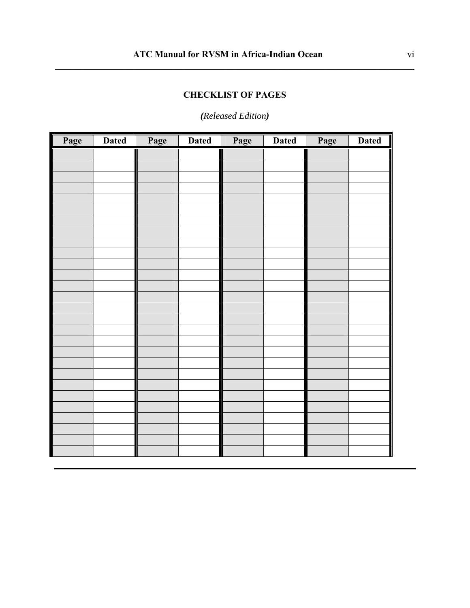## **CHECKLIST OF PAGES**

 $\_$  , and the contribution of the contribution of the contribution of the contribution of  $\mathcal{L}_\text{max}$ 

## *(Released Edition)*

| Page | <b>Dated</b> | Page | <b>Dated</b> | Page | <b>Dated</b> | Page | <b>Dated</b> |
|------|--------------|------|--------------|------|--------------|------|--------------|
|      |              |      |              |      |              |      |              |
|      |              |      |              |      |              |      |              |
|      |              |      |              |      |              |      |              |
|      |              |      |              |      |              |      |              |
|      |              |      |              |      |              |      |              |
|      |              |      |              |      |              |      |              |
|      |              |      |              |      |              |      |              |
|      |              |      |              |      |              |      |              |
|      |              |      |              |      |              |      |              |
|      |              |      |              |      |              |      |              |
|      |              |      |              |      |              |      |              |
|      |              |      |              |      |              |      |              |
|      |              |      |              |      |              |      |              |
|      |              |      |              |      |              |      |              |
|      |              |      |              |      |              |      |              |
|      |              |      |              |      |              |      |              |
|      |              |      |              |      |              |      |              |
|      |              |      |              |      |              |      |              |
|      |              |      |              |      |              |      |              |
|      |              |      |              |      |              |      |              |
|      |              |      |              |      |              |      |              |
|      |              |      |              |      |              |      |              |
|      |              |      |              |      |              |      |              |
|      |              |      |              |      |              |      |              |
|      |              |      |              |      |              |      |              |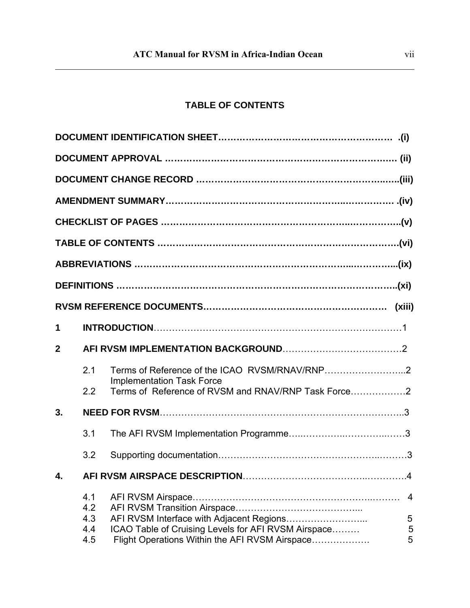## **TABLE OF CONTENTS**

 $\_$  , and the contribution of the contribution of the contribution of the contribution of  $\mathcal{L}_\text{max}$ 

| 1              |            |                                                     |                |
|----------------|------------|-----------------------------------------------------|----------------|
| $\overline{2}$ |            |                                                     |                |
|                | 2.1        |                                                     |                |
|                | 2.2        | <b>Implementation Task Force</b>                    |                |
| 3.             |            |                                                     |                |
|                | 3.1        |                                                     |                |
|                | 3.2        |                                                     |                |
| $\mathbf{A}$   |            |                                                     |                |
|                | 4.1<br>4.2 |                                                     | $\overline{4}$ |
|                | 4.3        | AFI RVSM Interface with Adjacent Regions            | 5              |
|                | 4.4        | ICAO Table of Cruising Levels for AFI RVSM Airspace | $\sqrt{5}$     |
|                | 4.5        | Flight Operations Within the AFI RVSM Airspace      | 5              |
|                |            |                                                     |                |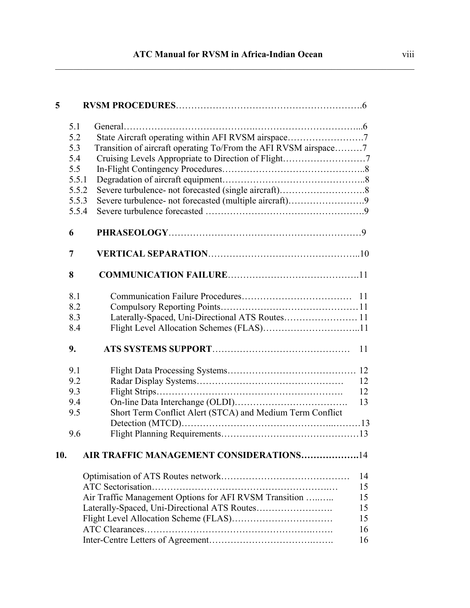## **ATC Manual for RVSM in Africa-Indian Ocean**

 $\_$  , and the contribution of the contribution of the contribution of the contribution of  $\mathcal{L}_\text{max}$ 

| 5   |       |                                                                 |    |
|-----|-------|-----------------------------------------------------------------|----|
|     | 5.1   |                                                                 |    |
|     | 5.2   | State Aircraft operating within AFI RVSM airspace7              |    |
|     | 5.3   | Transition of aircraft operating To/From the AFI RVSM airspace7 |    |
|     | 5.4   | Cruising Levels Appropriate to Direction of Flight7             |    |
|     | 5.5   |                                                                 |    |
|     | 5.5.1 |                                                                 |    |
|     | 5.5.2 |                                                                 |    |
|     | 5.5.3 | Severe turbulence- not forecasted (multiple aircraft)9          |    |
|     | 5.5.4 |                                                                 |    |
|     | 6     |                                                                 |    |
|     | 7     |                                                                 |    |
|     | 8     |                                                                 |    |
|     | 8.1   |                                                                 |    |
|     | 8.2   |                                                                 |    |
|     | 8.3   | Laterally-Spaced, Uni-Directional ATS Routes 11                 |    |
|     | 8.4   |                                                                 |    |
|     | 9.    |                                                                 | 11 |
|     | 9.1   |                                                                 |    |
|     | 9.2   |                                                                 | 12 |
|     | 9.3   |                                                                 | 12 |
|     | 9.4   |                                                                 | 13 |
|     | 9.5   | Short Term Conflict Alert (STCA) and Medium Term Conflict       |    |
|     |       |                                                                 |    |
|     | 9.6   |                                                                 |    |
| 10. |       | AIR TRAFFIC MANAGEMENT CONSIDERATIONS14                         |    |
|     |       |                                                                 | 14 |
|     |       |                                                                 | 15 |
|     |       | Air Traffic Management Options for AFI RVSM Transition          | 15 |
|     |       |                                                                 | 15 |
|     |       |                                                                 | 15 |
|     |       |                                                                 | 16 |
|     |       |                                                                 | 16 |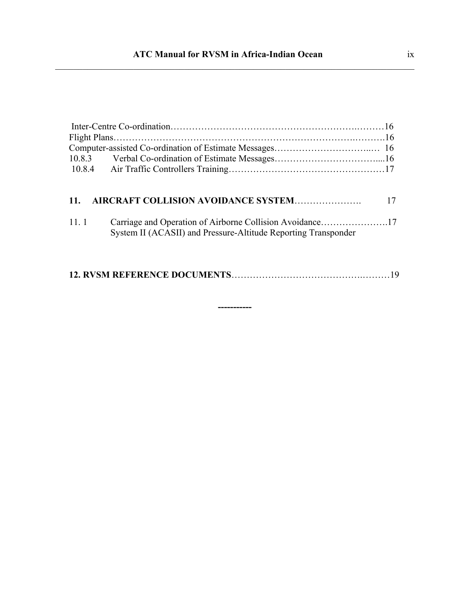| 10.8.3   |                                                                                                                            |  |  |  |  |  |
|----------|----------------------------------------------------------------------------------------------------------------------------|--|--|--|--|--|
|          |                                                                                                                            |  |  |  |  |  |
|          |                                                                                                                            |  |  |  |  |  |
| $11_{-}$ | AIRCRAFT COLLISION AVOIDANCE SYSTEM                                                                                        |  |  |  |  |  |
|          |                                                                                                                            |  |  |  |  |  |
| 11.1     | Carriage and Operation of Airborne Collision Avoidance17<br>System II (ACASII) and Pressure-Altitude Reporting Transponder |  |  |  |  |  |

**-----------**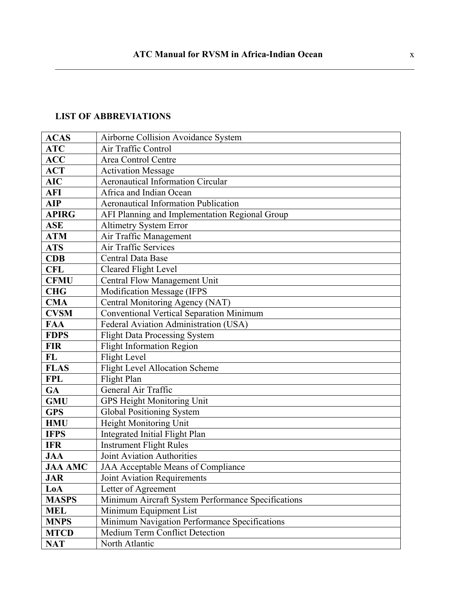## **LIST OF ABBREVIATIONS**

| <b>ACAS</b>    | Airborne Collision Avoidance System                |
|----------------|----------------------------------------------------|
| <b>ATC</b>     | Air Traffic Control                                |
| <b>ACC</b>     | Area Control Centre                                |
| <b>ACT</b>     | <b>Activation Message</b>                          |
| <b>AIC</b>     | <b>Aeronautical Information Circular</b>           |
| <b>AFI</b>     | Africa and Indian Ocean                            |
| <b>AIP</b>     | <b>Aeronautical Information Publication</b>        |
| <b>APIRG</b>   | AFI Planning and Implementation Regional Group     |
| <b>ASE</b>     | <b>Altimetry System Error</b>                      |
| <b>ATM</b>     | Air Traffic Management                             |
| <b>ATS</b>     | Air Traffic Services                               |
| <b>CDB</b>     | <b>Central Data Base</b>                           |
| <b>CFL</b>     | <b>Cleared Flight Level</b>                        |
| <b>CFMU</b>    | Central Flow Management Unit                       |
| <b>CHG</b>     | <b>Modification Message (IFPS</b>                  |
| <b>CMA</b>     | Central Monitoring Agency (NAT)                    |
| <b>CVSM</b>    | <b>Conventional Vertical Separation Minimum</b>    |
| <b>FAA</b>     | Federal Aviation Administration (USA)              |
| <b>FDPS</b>    | <b>Flight Data Processing System</b>               |
| <b>FIR</b>     | <b>Flight Information Region</b>                   |
| FL             | Flight Level                                       |
| <b>FLAS</b>    | <b>Flight Level Allocation Scheme</b>              |
| <b>FPL</b>     | Flight Plan                                        |
| GA             | General Air Traffic                                |
| <b>GMU</b>     | <b>GPS Height Monitoring Unit</b>                  |
| <b>GPS</b>     | Global Positioning System                          |
| <b>HMU</b>     | Height Monitoring Unit                             |
| <b>IFPS</b>    | Integrated Initial Flight Plan                     |
| <b>IFR</b>     | <b>Instrument Flight Rules</b>                     |
| <b>JAA</b>     | <b>Joint Aviation Authorities</b>                  |
| <b>JAA AMC</b> | JAA Acceptable Means of Compliance                 |
| <b>JAR</b>     | <b>Joint Aviation Requirements</b>                 |
| LoA            | Letter of Agreement                                |
| <b>MASPS</b>   | Minimum Aircraft System Performance Specifications |
| <b>MEL</b>     | Minimum Equipment List                             |
| <b>MNPS</b>    | Minimum Navigation Performance Specifications      |
| <b>MTCD</b>    | Medium Term Conflict Detection                     |
| <b>NAT</b>     | North Atlantic                                     |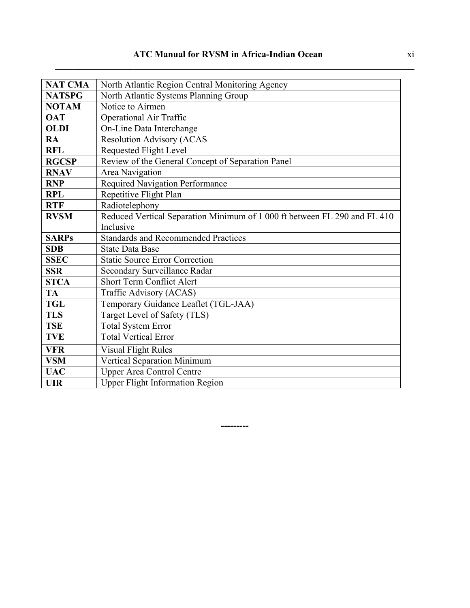| <b>NAT CMA</b> | North Atlantic Region Central Monitoring Agency                           |
|----------------|---------------------------------------------------------------------------|
| <b>NATSPG</b>  | North Atlantic Systems Planning Group                                     |
| <b>NOTAM</b>   | Notice to Airmen                                                          |
| <b>OAT</b>     | <b>Operational Air Traffic</b>                                            |
| <b>OLDI</b>    | On-Line Data Interchange                                                  |
| RA             | <b>Resolution Advisory (ACAS</b>                                          |
| <b>RFL</b>     | <b>Requested Flight Level</b>                                             |
| <b>RGCSP</b>   | Review of the General Concept of Separation Panel                         |
| <b>RNAV</b>    | Area Navigation                                                           |
| <b>RNP</b>     | <b>Required Navigation Performance</b>                                    |
| <b>RPL</b>     | Repetitive Flight Plan                                                    |
| <b>RTF</b>     | Radiotelephony                                                            |
| <b>RVSM</b>    | Reduced Vertical Separation Minimum of 1 000 ft between FL 290 and FL 410 |
|                | Inclusive                                                                 |
| <b>SARPs</b>   | <b>Standards and Recommended Practices</b>                                |
| <b>SDB</b>     | <b>State Data Base</b>                                                    |
| <b>SSEC</b>    | <b>Static Source Error Correction</b>                                     |
| <b>SSR</b>     | Secondary Surveillance Radar                                              |
| <b>STCA</b>    | <b>Short Term Conflict Alert</b>                                          |
| <b>TA</b>      | Traffic Advisory (ACAS)                                                   |
| <b>TGL</b>     | Temporary Guidance Leaflet (TGL-JAA)                                      |
| <b>TLS</b>     | Target Level of Safety (TLS)                                              |
| <b>TSE</b>     | Total System Error                                                        |
| <b>TVE</b>     | <b>Total Vertical Error</b>                                               |
| <b>VFR</b>     | <b>Visual Flight Rules</b>                                                |
| <b>VSM</b>     | Vertical Separation Minimum                                               |
| <b>UAC</b>     | <b>Upper Area Control Centre</b>                                          |
| <b>UIR</b>     | <b>Upper Flight Information Region</b>                                    |

**---------**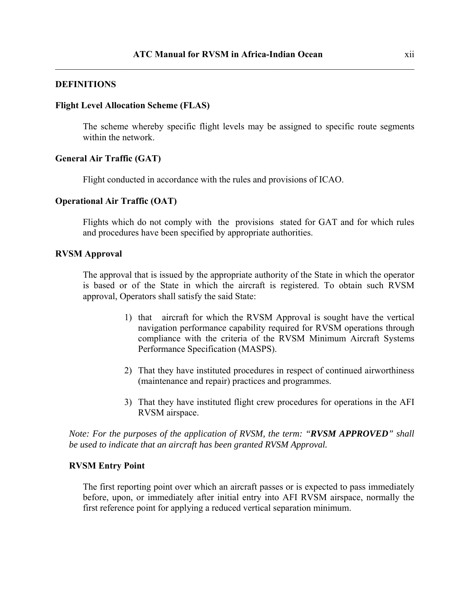#### **DEFINITIONS**

#### **Flight Level Allocation Scheme (FLAS)**

The scheme whereby specific flight levels may be assigned to specific route segments within the network.

#### **General Air Traffic (GAT)**

Flight conducted in accordance with the rules and provisions of ICAO.

#### **Operational Air Traffic (OAT)**

Flights which do not comply with the provisions stated for GAT and for which rules and procedures have been specified by appropriate authorities.

#### **RVSM Approval**

The approval that is issued by the appropriate authority of the State in which the operator is based or of the State in which the aircraft is registered. To obtain such RVSM approval, Operators shall satisfy the said State:

- 1) that aircraft for which the RVSM Approval is sought have the vertical navigation performance capability required for RVSM operations through compliance with the criteria of the RVSM Minimum Aircraft Systems Performance Specification (MASPS).
- 2) That they have instituted procedures in respect of continued airworthiness (maintenance and repair) practices and programmes.
- 3) That they have instituted flight crew procedures for operations in the AFI RVSM airspace.

*Note: For the purposes of the application of RVSM, the term: "RVSM APPROVED" shall be used to indicate that an aircraft has been granted RVSM Approval.* 

#### **RVSM Entry Point**

The first reporting point over which an aircraft passes or is expected to pass immediately before, upon, or immediately after initial entry into AFI RVSM airspace, normally the first reference point for applying a reduced vertical separation minimum.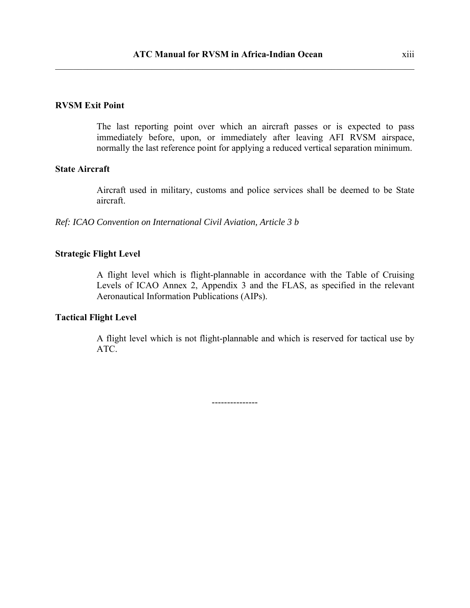#### **RVSM Exit Point**

The last reporting point over which an aircraft passes or is expected to pass immediately before, upon, or immediately after leaving AFI RVSM airspace, normally the last reference point for applying a reduced vertical separation minimum.

#### **State Aircraft**

Aircraft used in military, customs and police services shall be deemed to be State aircraft.

*Ref: ICAO Convention on International Civil Aviation, Article 3 b* 

#### **Strategic Flight Level**

A flight level which is flight-plannable in accordance with the Table of Cruising Levels of ICAO Annex 2, Appendix 3 and the FLAS, as specified in the relevant Aeronautical Information Publications (AIPs).

#### **Tactical Flight Level**

A flight level which is not flight-plannable and which is reserved for tactical use by ATC.

---------------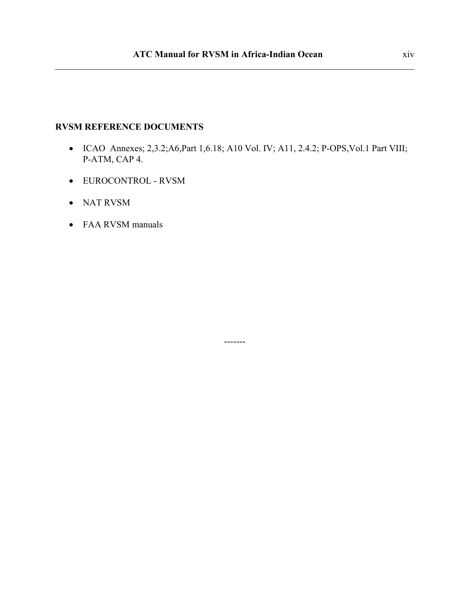#### **RVSM REFERENCE DOCUMENTS**

• ICAO Annexes; 2,3.2;A6,Part 1,6.18; A10 Vol. IV; A11, 2.4.2; P-OPS,Vol.1 Part VIII; P-ATM, CAP 4.

-------

- EUROCONTROL RVSM
- NAT RVSM
- FAA RVSM manuals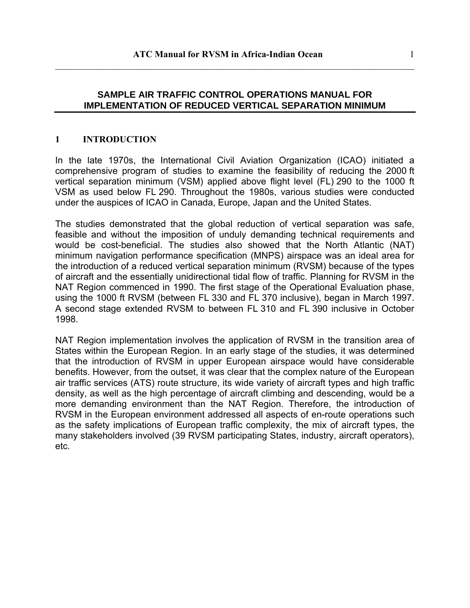#### **SAMPLE AIR TRAFFIC CONTROL OPERATIONS MANUAL FOR IMPLEMENTATION OF REDUCED VERTICAL SEPARATION MINIMUM**

 $\_$  , and the contribution of the contribution of the contribution of the contribution of  $\mathcal{L}_\text{max}$ 

#### **1 INTRODUCTION**

In the late 1970s, the International Civil Aviation Organization (ICAO) initiated a comprehensive program of studies to examine the feasibility of reducing the 2000 ft vertical separation minimum (VSM) applied above flight level (FL) 290 to the 1000 ft VSM as used below FL 290. Throughout the 1980s, various studies were conducted under the auspices of ICAO in Canada, Europe, Japan and the United States.

The studies demonstrated that the global reduction of vertical separation was safe, feasible and without the imposition of unduly demanding technical requirements and would be cost-beneficial. The studies also showed that the North Atlantic (NAT) minimum navigation performance specification (MNPS) airspace was an ideal area for the introduction of a reduced vertical separation minimum (RVSM) because of the types of aircraft and the essentially unidirectional tidal flow of traffic. Planning for RVSM in the NAT Region commenced in 1990. The first stage of the Operational Evaluation phase, using the 1000 ft RVSM (between FL 330 and FL 370 inclusive), began in March 1997. A second stage extended RVSM to between FL 310 and FL 390 inclusive in October 1998.

NAT Region implementation involves the application of RVSM in the transition area of States within the European Region. In an early stage of the studies, it was determined that the introduction of RVSM in upper European airspace would have considerable benefits. However, from the outset, it was clear that the complex nature of the European air traffic services (ATS) route structure, its wide variety of aircraft types and high traffic density, as well as the high percentage of aircraft climbing and descending, would be a more demanding environment than the NAT Region. Therefore, the introduction of RVSM in the European environment addressed all aspects of en-route operations such as the safety implications of European traffic complexity, the mix of aircraft types, the many stakeholders involved (39 RVSM participating States, industry, aircraft operators), etc.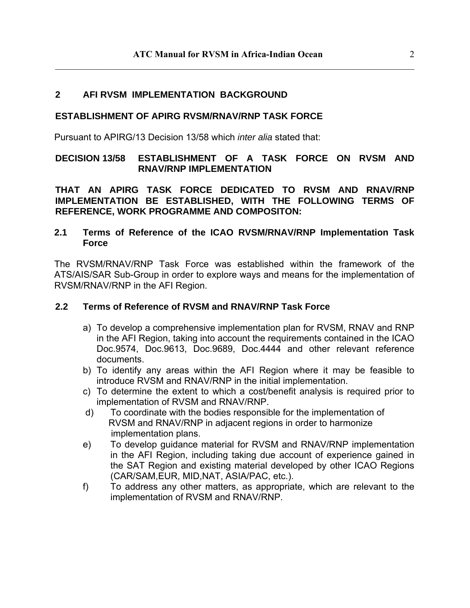#### **2 AFI RVSM IMPLEMENTATION BACKGROUND**

#### **ESTABLISHMENT OF APIRG RVSM/RNAV/RNP TASK FORCE**

Pursuant to APIRG/13 Decision 13/58 which *inter alia* stated that:

#### **DECISION 13/58 ESTABLISHMENT OF A TASK FORCE ON RVSM AND RNAV/RNP IMPLEMENTATION**

**THAT AN APIRG TASK FORCE DEDICATED TO RVSM AND RNAV/RNP IMPLEMENTATION BE ESTABLISHED, WITH THE FOLLOWING TERMS OF REFERENCE, WORK PROGRAMME AND COMPOSITON:** 

#### **2.1 Terms of Reference of the ICAO RVSM/RNAV/RNP Implementation Task Force**

The RVSM/RNAV/RNP Task Force was established within the framework of the ATS/AIS/SAR Sub-Group in order to explore ways and means for the implementation of RVSM/RNAV/RNP in the AFI Region.

#### **2.2 Terms of Reference of RVSM and RNAV/RNP Task Force**

- a) To develop a comprehensive implementation plan for RVSM, RNAV and RNP in the AFI Region, taking into account the requirements contained in the ICAO Doc.9574, Doc.9613, Doc.9689, Doc.4444 and other relevant reference documents.
- b) To identify any areas within the AFI Region where it may be feasible to introduce RVSM and RNAV/RNP in the initial implementation.
- c) To determine the extent to which a cost/benefit analysis is required prior to implementation of RVSM and RNAV/RNP.
- d) To coordinate with the bodies responsible for the implementation of RVSM and RNAV/RNP in adjacent regions in order to harmonize implementation plans.
- e) To develop guidance material for RVSM and RNAV/RNP implementation in the AFI Region, including taking due account of experience gained in the SAT Region and existing material developed by other ICAO Regions (CAR/SAM,EUR, MID,NAT, ASIA/PAC, etc.).
- f) To address any other matters, as appropriate, which are relevant to the implementation of RVSM and RNAV/RNP.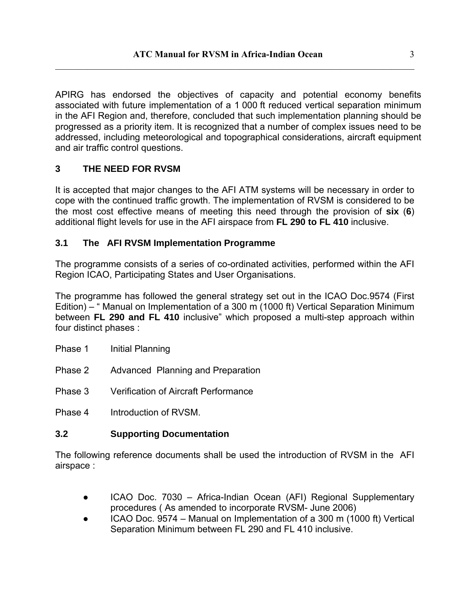APIRG has endorsed the objectives of capacity and potential economy benefits associated with future implementation of a 1 000 ft reduced vertical separation minimum in the AFI Region and, therefore, concluded that such implementation planning should be progressed as a priority item. It is recognized that a number of complex issues need to be addressed, including meteorological and topographical considerations, aircraft equipment and air traffic control questions.

## **3 THE NEED FOR RVSM**

It is accepted that major changes to the AFI ATM systems will be necessary in order to cope with the continued traffic growth. The implementation of RVSM is considered to be the most cost effective means of meeting this need through the provision of **six** (**6**) additional flight levels for use in the AFI airspace from **FL 290 to FL 410** inclusive.

#### **3.1 The AFI RVSM Implementation Programme**

The programme consists of a series of co-ordinated activities, performed within the AFI Region ICAO, Participating States and User Organisations.

The programme has followed the general strategy set out in the ICAO Doc.9574 (First Edition) – " Manual on Implementation of a 300 m (1000 ft) Vertical Separation Minimum between **FL 290 and FL 410** inclusive" which proposed a multi-step approach within four distinct phases :

- Phase 1 Initial Planning
- Phase 2 Advanced Planning and Preparation
- Phase 3 Verification of Aircraft Performance

Phase 4 Introduction of RVSM.

#### **3.2 Supporting Documentation**

The following reference documents shall be used the introduction of RVSM in the AFI airspace :

- ICAO Doc. 7030 Africa-Indian Ocean (AFI) Regional Supplementary procedures ( As amended to incorporate RVSM- June 2006)
- ICAO Doc. 9574 Manual on Implementation of a 300 m (1000 ft) Vertical Separation Minimum between FL 290 and FL 410 inclusive.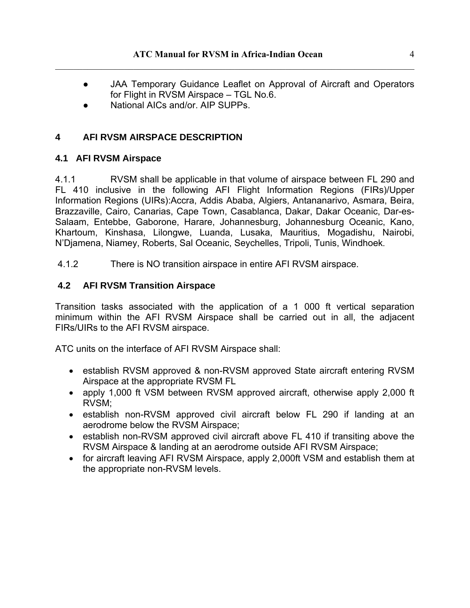- JAA Temporary Guidance Leaflet on Approval of Aircraft and Operators for Flight in RVSM Airspace – TGL No.6.
- National AICs and/or. AIP SUPPs.

## **4 AFI RVSM AIRSPACE DESCRIPTION**

#### **4.1 AFI RVSM Airspace**

4.1.1 RVSM shall be applicable in that volume of airspace between FL 290 and FL 410 inclusive in the following AFI Flight Information Regions (FIRs)/Upper Information Regions (UIRs):Accra, Addis Ababa, Algiers, Antananarivo, Asmara, Beira, Brazzaville, Cairo, Canarias, Cape Town, Casablanca, Dakar, Dakar Oceanic, Dar-es-Salaam, Entebbe, Gaborone, Harare, Johannesburg, Johannesburg Oceanic, Kano, Khartoum, Kinshasa, Lilongwe, Luanda, Lusaka, Mauritius, Mogadishu, Nairobi, N'Djamena, Niamey, Roberts, Sal Oceanic, Seychelles, Tripoli, Tunis, Windhoek.

4.1.2 There is NO transition airspace in entire AFI RVSM airspace.

#### **4.2 AFI RVSM Transition Airspace**

Transition tasks associated with the application of a 1 000 ft vertical separation minimum within the AFI RVSM Airspace shall be carried out in all, the adjacent FIRs/UIRs to the AFI RVSM airspace.

ATC units on the interface of AFI RVSM Airspace shall:

- establish RVSM approved & non-RVSM approved State aircraft entering RVSM Airspace at the appropriate RVSM FL
- apply 1,000 ft VSM between RVSM approved aircraft, otherwise apply 2,000 ft RVSM;
- establish non-RVSM approved civil aircraft below FL 290 if landing at an aerodrome below the RVSM Airspace;
- establish non-RVSM approved civil aircraft above FL 410 if transiting above the RVSM Airspace & landing at an aerodrome outside AFI RVSM Airspace;
- for aircraft leaving AFI RVSM Airspace, apply 2,000ft VSM and establish them at the appropriate non-RVSM levels.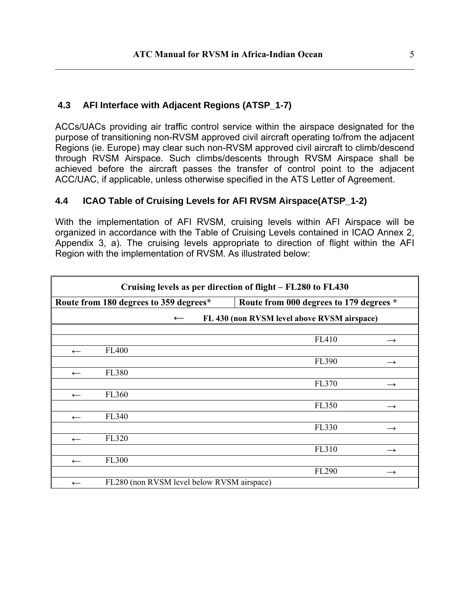#### **4.3 AFI Interface with Adjacent Regions (ATSP\_1-7)**

ACCs/UACs providing air traffic control service within the airspace designated for the purpose of transitioning non-RVSM approved civil aircraft operating to/from the adjacent Regions (ie. Europe) may clear such non-RVSM approved civil aircraft to climb/descend through RVSM Airspace. Such climbs/descents through RVSM Airspace shall be achieved before the aircraft passes the transfer of control point to the adjacent ACC/UAC, if applicable, unless otherwise specified in the ATS Letter of Agreement.

#### **4.4 ICAO Table of Cruising Levels for AFI RVSM Airspace(ATSP\_1-2)**

With the implementation of AFI RVSM, cruising levels within AFI Airspace will be organized in accordance with the Table of Cruising Levels contained in ICAO Annex 2, Appendix 3, a). The cruising levels appropriate to direction of flight within the AFI Region with the implementation of RVSM. As illustrated below:

| Cruising levels as per direction of flight – FL280 to FL430 |                                            |  |  |  |                                         |               |  |
|-------------------------------------------------------------|--------------------------------------------|--|--|--|-----------------------------------------|---------------|--|
|                                                             | Route from 180 degrees to 359 degrees*     |  |  |  | Route from 000 degrees to 179 degrees * |               |  |
| FL 430 (non RVSM level above RVSM airspace)<br>$\leftarrow$ |                                            |  |  |  |                                         |               |  |
|                                                             |                                            |  |  |  |                                         |               |  |
|                                                             |                                            |  |  |  | FL410                                   | $\rightarrow$ |  |
| $\leftarrow$                                                | <b>FL400</b>                               |  |  |  |                                         |               |  |
|                                                             |                                            |  |  |  | FL390                                   | $\rightarrow$ |  |
| $\leftarrow$                                                | <b>FL380</b>                               |  |  |  |                                         |               |  |
|                                                             |                                            |  |  |  | FL370                                   | $\rightarrow$ |  |
| $\leftarrow$                                                | FL360                                      |  |  |  |                                         |               |  |
|                                                             |                                            |  |  |  | <b>FL350</b>                            | $\rightarrow$ |  |
| $\leftarrow$                                                | FL340                                      |  |  |  |                                         |               |  |
|                                                             |                                            |  |  |  | FL330                                   | $\rightarrow$ |  |
| $\leftarrow$                                                | FL320                                      |  |  |  |                                         |               |  |
|                                                             |                                            |  |  |  | FL310                                   | $\rightarrow$ |  |
| $\leftarrow$                                                | <b>FL300</b>                               |  |  |  |                                         |               |  |
|                                                             |                                            |  |  |  | FL290                                   | $\rightarrow$ |  |
| $\leftarrow$                                                | FL280 (non RVSM level below RVSM airspace) |  |  |  |                                         |               |  |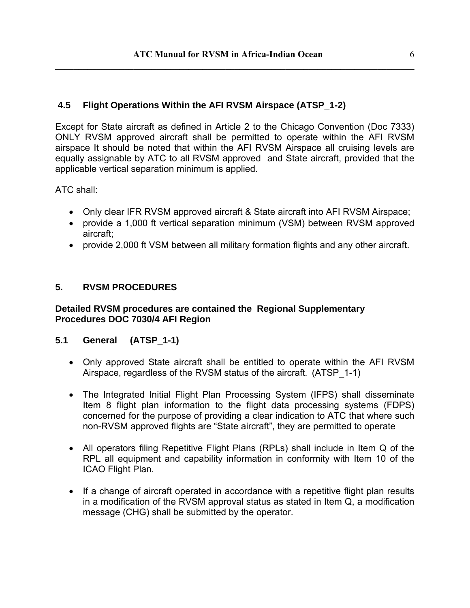#### **4.5 Flight Operations Within the AFI RVSM Airspace (ATSP\_1-2)**

Except for State aircraft as defined in Article 2 to the Chicago Convention (Doc 7333) ONLY RVSM approved aircraft shall be permitted to operate within the AFI RVSM airspace It should be noted that within the AFI RVSM Airspace all cruising levels are equally assignable by ATC to all RVSM approved and State aircraft, provided that the applicable vertical separation minimum is applied.

ATC shall:

- Only clear IFR RVSM approved aircraft & State aircraft into AFI RVSM Airspace;
- provide a 1,000 ft vertical separation minimum (VSM) between RVSM approved aircraft;
- provide 2,000 ft VSM between all military formation flights and any other aircraft.

#### **5. RVSM PROCEDURES**

#### **Detailed RVSM procedures are contained the Regional Supplementary Procedures DOC 7030/4 AFI Region**

#### **5.1 General (ATSP\_1-1)**

- Only approved State aircraft shall be entitled to operate within the AFI RVSM Airspace, regardless of the RVSM status of the aircraft. (ATSP\_1-1)
- The Integrated Initial Flight Plan Processing System (IFPS) shall disseminate Item 8 flight plan information to the flight data processing systems (FDPS) concerned for the purpose of providing a clear indication to ATC that where such non-RVSM approved flights are "State aircraft", they are permitted to operate
- All operators filing Repetitive Flight Plans (RPLs) shall include in Item Q of the RPL all equipment and capability information in conformity with Item 10 of the ICAO Flight Plan.
- If a change of aircraft operated in accordance with a repetitive flight plan results in a modification of the RVSM approval status as stated in Item Q, a modification message (CHG) shall be submitted by the operator.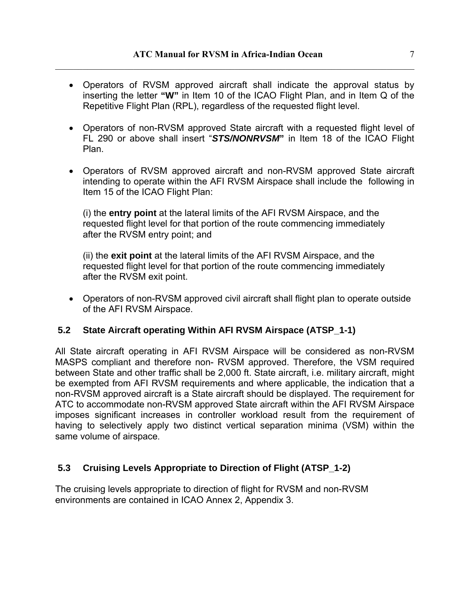- Operators of RVSM approved aircraft shall indicate the approval status by inserting the letter **"W"** in Item 10 of the ICAO Flight Plan, and in Item Q of the Repetitive Flight Plan (RPL), regardless of the requested flight level.
- Operators of non-RVSM approved State aircraft with a requested flight level of FL 290 or above shall insert "*STS/NONRVSM***"** in Item 18 of the ICAO Flight Plan.
- Operators of RVSM approved aircraft and non-RVSM approved State aircraft intending to operate within the AFI RVSM Airspace shall include the following in Item 15 of the ICAO Flight Plan:

(i) the **entry point** at the lateral limits of the AFI RVSM Airspace, and the requested flight level for that portion of the route commencing immediately after the RVSM entry point; and

(ii) the **exit point** at the lateral limits of the AFI RVSM Airspace, and the requested flight level for that portion of the route commencing immediately after the RVSM exit point.

• Operators of non-RVSM approved civil aircraft shall flight plan to operate outside of the AFI RVSM Airspace.

#### **5.2 State Aircraft operating Within AFI RVSM Airspace (ATSP\_1-1)**

All State aircraft operating in AFI RVSM Airspace will be considered as non-RVSM MASPS compliant and therefore non- RVSM approved. Therefore, the VSM required between State and other traffic shall be 2,000 ft. State aircraft, i.e. military aircraft, might be exempted from AFI RVSM requirements and where applicable, the indication that a non-RVSM approved aircraft is a State aircraft should be displayed. The requirement for ATC to accommodate non-RVSM approved State aircraft within the AFI RVSM Airspace imposes significant increases in controller workload result from the requirement of having to selectively apply two distinct vertical separation minima (VSM) within the same volume of airspace.

#### **5.3 Cruising Levels Appropriate to Direction of Flight (ATSP\_1-2)**

The cruising levels appropriate to direction of flight for RVSM and non-RVSM environments are contained in ICAO Annex 2, Appendix 3.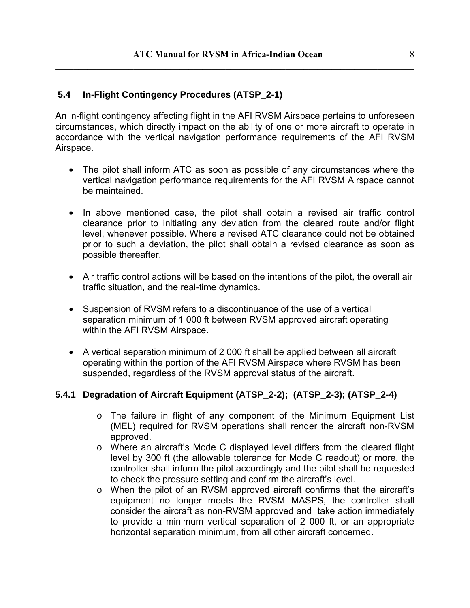#### **5.4 In-Flight Contingency Procedures (ATSP\_2-1)**

An in-flight contingency affecting flight in the AFI RVSM Airspace pertains to unforeseen circumstances, which directly impact on the ability of one or more aircraft to operate in accordance with the vertical navigation performance requirements of the AFI RVSM Airspace.

- The pilot shall inform ATC as soon as possible of any circumstances where the vertical navigation performance requirements for the AFI RVSM Airspace cannot be maintained.
- In above mentioned case, the pilot shall obtain a revised air traffic control clearance prior to initiating any deviation from the cleared route and/or flight level, whenever possible. Where a revised ATC clearance could not be obtained prior to such a deviation, the pilot shall obtain a revised clearance as soon as possible thereafter.
- Air traffic control actions will be based on the intentions of the pilot, the overall air traffic situation, and the real-time dynamics.
- Suspension of RVSM refers to a discontinuance of the use of a vertical separation minimum of 1 000 ft between RVSM approved aircraft operating within the AFI RVSM Airspace.
- A vertical separation minimum of 2 000 ft shall be applied between all aircraft operating within the portion of the AFI RVSM Airspace where RVSM has been suspended, regardless of the RVSM approval status of the aircraft.

#### **5.4.1 Degradation of Aircraft Equipment (ATSP\_2-2); (ATSP\_2-3); (ATSP\_2-4)**

- $\circ$  The failure in flight of any component of the Minimum Equipment List (MEL) required for RVSM operations shall render the aircraft non-RVSM approved.
- o Where an aircraft's Mode C displayed level differs from the cleared flight level by 300 ft (the allowable tolerance for Mode C readout) or more, the controller shall inform the pilot accordingly and the pilot shall be requested to check the pressure setting and confirm the aircraft's level.
- o When the pilot of an RVSM approved aircraft confirms that the aircraft's equipment no longer meets the RVSM MASPS, the controller shall consider the aircraft as non-RVSM approved and take action immediately to provide a minimum vertical separation of 2 000 ft, or an appropriate horizontal separation minimum, from all other aircraft concerned.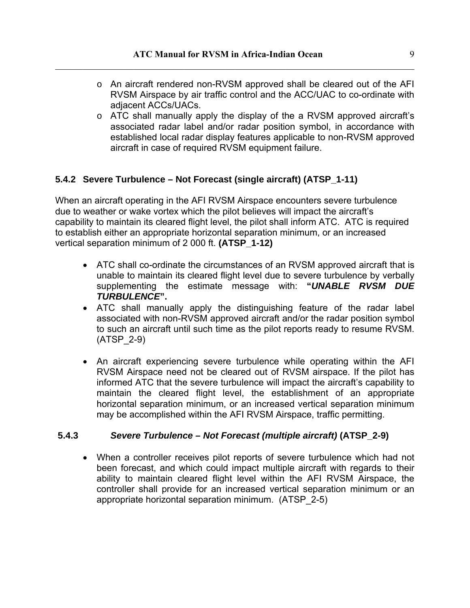- o An aircraft rendered non-RVSM approved shall be cleared out of the AFI RVSM Airspace by air traffic control and the ACC/UAC to co-ordinate with adjacent ACCs/UACs.
- o ATC shall manually apply the display of the a RVSM approved aircraft's associated radar label and/or radar position symbol, in accordance with established local radar display features applicable to non-RVSM approved aircraft in case of required RVSM equipment failure.

## **5.4.2 Severe Turbulence – Not Forecast (single aircraft) (ATSP\_1-11)**

When an aircraft operating in the AFI RVSM Airspace encounters severe turbulence due to weather or wake vortex which the pilot believes will impact the aircraft's capability to maintain its cleared flight level, the pilot shall inform ATC. ATC is required to establish either an appropriate horizontal separation minimum, or an increased vertical separation minimum of 2 000 ft. **(ATSP\_1-12)** 

- ATC shall co-ordinate the circumstances of an RVSM approved aircraft that is unable to maintain its cleared flight level due to severe turbulence by verbally supplementing the estimate message with: **"***UNABLE RVSM DUE TURBULENCE***".**
- ATC shall manually apply the distinguishing feature of the radar label associated with non-RVSM approved aircraft and/or the radar position symbol to such an aircraft until such time as the pilot reports ready to resume RVSM. (ATSP\_2-9)
- An aircraft experiencing severe turbulence while operating within the AFI RVSM Airspace need not be cleared out of RVSM airspace. If the pilot has informed ATC that the severe turbulence will impact the aircraft's capability to maintain the cleared flight level, the establishment of an appropriate horizontal separation minimum, or an increased vertical separation minimum may be accomplished within the AFI RVSM Airspace, traffic permitting.

#### **5.4.3** *Severe Turbulence – Not Forecast (multiple aircraft)* **(ATSP\_2-9)**

• When a controller receives pilot reports of severe turbulence which had not been forecast, and which could impact multiple aircraft with regards to their ability to maintain cleared flight level within the AFI RVSM Airspace, the controller shall provide for an increased vertical separation minimum or an appropriate horizontal separation minimum. (ATSP\_2-5)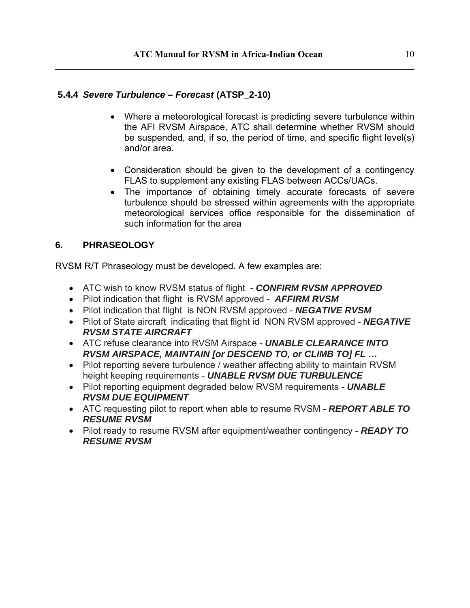#### **5.4.4** *Severe Turbulence – Forecast* **(ATSP\_2-10)**

- Where a meteorological forecast is predicting severe turbulence within the AFI RVSM Airspace, ATC shall determine whether RVSM should be suspended, and, if so, the period of time, and specific flight level(s) and/or area.
- Consideration should be given to the development of a contingency FLAS to supplement any existing FLAS between ACCs/UACs.
- The importance of obtaining timely accurate forecasts of severe turbulence should be stressed within agreements with the appropriate meteorological services office responsible for the dissemination of such information for the area

## **6. PHRASEOLOGY**

RVSM R/T Phraseology must be developed. A few examples are:

- ATC wish to know RVSM status of flight *CONFIRM RVSM APPROVED*
- Pilot indication that flight is RVSM approved *AFFIRM RVSM*
- Pilot indication that flight is NON RVSM approved *NEGATIVE RVSM*
- Pilot of State aircraft indicating that flight id NON RVSM approved *NEGATIVE RVSM STATE AIRCRAFT*
- ATC refuse clearance into RVSM Airspace *UNABLE CLEARANCE INTO RVSM AIRSPACE, MAINTAIN [or DESCEND TO, or CLIMB TO] FL …*
- Pilot reporting severe turbulence / weather affecting ability to maintain RVSM height keeping requirements - *UNABLE RVSM DUE TURBULENCE*
- Pilot reporting equipment degraded below RVSM requirements *UNABLE RVSM DUE EQUIPMENT*
- ATC requesting pilot to report when able to resume RVSM *REPORT ABLE TO RESUME RVSM*
- Pilot ready to resume RVSM after equipment/weather contingency *READY TO RESUME RVSM*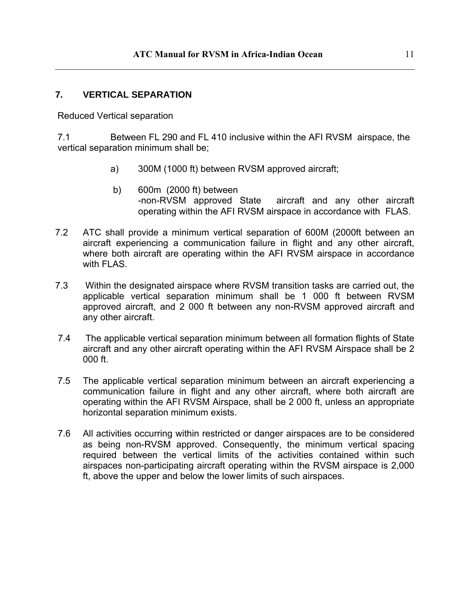#### **7. VERTICAL SEPARATION**

Reduced Vertical separation

7.1 Between FL 290 and FL 410 inclusive within the AFI RVSM airspace, the vertical separation minimum shall be;

- a) 300M (1000 ft) between RVSM approved aircraft;
- b) 600m (2000 ft) between -non-RVSM approved State aircraft and any other aircraft operating within the AFI RVSM airspace in accordance with FLAS.
- 7.2 ATC shall provide a minimum vertical separation of 600M (2000ft between an aircraft experiencing a communication failure in flight and any other aircraft, where both aircraft are operating within the AFI RVSM airspace in accordance with FLAS.
- 7.3 Within the designated airspace where RVSM transition tasks are carried out, the applicable vertical separation minimum shall be 1 000 ft between RVSM approved aircraft, and 2 000 ft between any non-RVSM approved aircraft and any other aircraft.
- 7.4 The applicable vertical separation minimum between all formation flights of State aircraft and any other aircraft operating within the AFI RVSM Airspace shall be 2 000 ft.
- 7.5 The applicable vertical separation minimum between an aircraft experiencing a communication failure in flight and any other aircraft, where both aircraft are operating within the AFI RVSM Airspace, shall be 2 000 ft, unless an appropriate horizontal separation minimum exists.
- 7.6 All activities occurring within restricted or danger airspaces are to be considered as being non-RVSM approved. Consequently, the minimum vertical spacing required between the vertical limits of the activities contained within such airspaces non-participating aircraft operating within the RVSM airspace is 2,000 ft, above the upper and below the lower limits of such airspaces.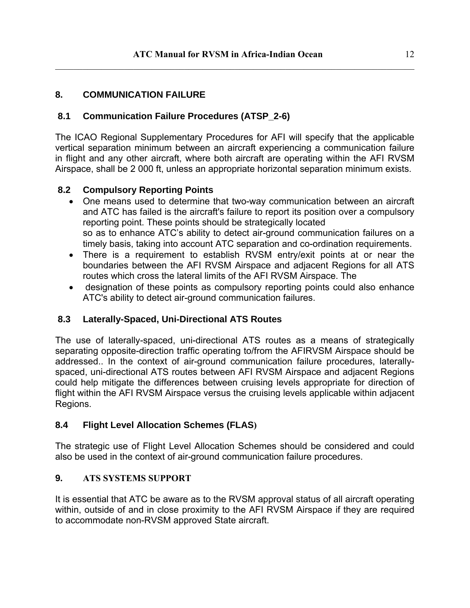#### **8. COMMUNICATION FAILURE**

#### **8.1 Communication Failure Procedures (ATSP\_2-6)**

The ICAO Regional Supplementary Procedures for AFI will specify that the applicable vertical separation minimum between an aircraft experiencing a communication failure in flight and any other aircraft, where both aircraft are operating within the AFI RVSM Airspace, shall be 2 000 ft, unless an appropriate horizontal separation minimum exists.

#### **8.2 Compulsory Reporting Points**

- One means used to determine that two-way communication between an aircraft and ATC has failed is the aircraft's failure to report its position over a compulsory reporting point. These points should be strategically located so as to enhance ATC's ability to detect air-ground communication failures on a timely basis, taking into account ATC separation and co-ordination requirements.
- There is a requirement to establish RVSM entry/exit points at or near the boundaries between the AFI RVSM Airspace and adjacent Regions for all ATS routes which cross the lateral limits of the AFI RVSM Airspace. The
- designation of these points as compulsory reporting points could also enhance ATC's ability to detect air-ground communication failures.

#### **8.3 Laterally-Spaced, Uni-Directional ATS Routes**

The use of laterally-spaced, uni-directional ATS routes as a means of strategically separating opposite-direction traffic operating to/from the AFIRVSM Airspace should be addressed.. In the context of air-ground communication failure procedures, laterallyspaced, uni-directional ATS routes between AFI RVSM Airspace and adjacent Regions could help mitigate the differences between cruising levels appropriate for direction of flight within the AFI RVSM Airspace versus the cruising levels applicable within adjacent Regions.

#### **8.4 Flight Level Allocation Schemes (FLAS)**

The strategic use of Flight Level Allocation Schemes should be considered and could also be used in the context of air-ground communication failure procedures.

#### **9. ATS SYSTEMS SUPPORT**

It is essential that ATC be aware as to the RVSM approval status of all aircraft operating within, outside of and in close proximity to the AFI RVSM Airspace if they are required to accommodate non-RVSM approved State aircraft.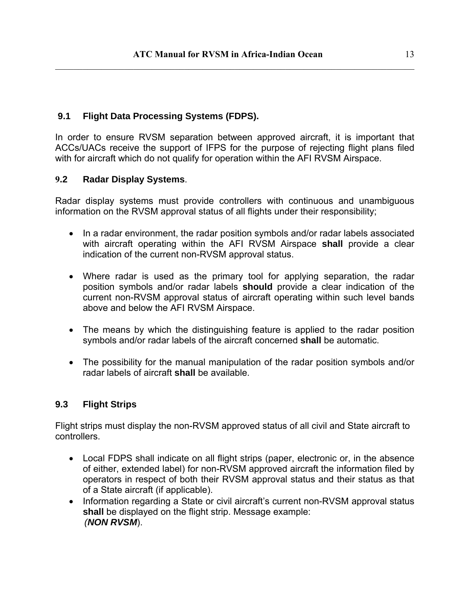#### **9.1 Flight Data Processing Systems (FDPS).**

In order to ensure RVSM separation between approved aircraft, it is important that ACCs/UACs receive the support of IFPS for the purpose of rejecting flight plans filed with for aircraft which do not qualify for operation within the AFI RVSM Airspace.

#### **9.2 Radar Display Systems**.

Radar display systems must provide controllers with continuous and unambiguous information on the RVSM approval status of all flights under their responsibility;

- In a radar environment, the radar position symbols and/or radar labels associated with aircraft operating within the AFI RVSM Airspace **shall** provide a clear indication of the current non-RVSM approval status.
- Where radar is used as the primary tool for applying separation, the radar position symbols and/or radar labels **should** provide a clear indication of the current non-RVSM approval status of aircraft operating within such level bands above and below the AFI RVSM Airspace.
- The means by which the distinguishing feature is applied to the radar position symbols and/or radar labels of the aircraft concerned **shall** be automatic.
- The possibility for the manual manipulation of the radar position symbols and/or radar labels of aircraft **shall** be available.

#### **9.3 Flight Strips**

Flight strips must display the non-RVSM approved status of all civil and State aircraft to controllers.

- Local FDPS shall indicate on all flight strips (paper, electronic or, in the absence of either, extended label) for non-RVSM approved aircraft the information filed by operators in respect of both their RVSM approval status and their status as that of a State aircraft (if applicable).
- Information regarding a State or civil aircraft's current non-RVSM approval status **shall** be displayed on the flight strip. Message example: *(NON RVSM*).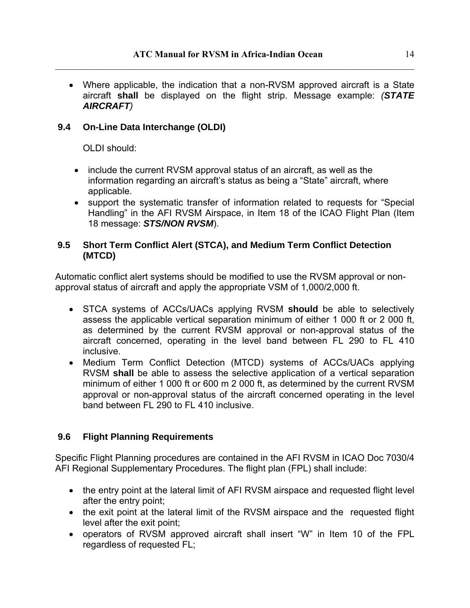• Where applicable, the indication that a non-RVSM approved aircraft is a State aircraft **shall** be displayed on the flight strip. Message example: *(STATE AIRCRAFT)* 

### **9.4 On-Line Data Interchange (OLDI)**

OLDI should:

- include the current RVSM approval status of an aircraft, as well as the information regarding an aircraft's status as being a "State" aircraft, where applicable.
- support the systematic transfer of information related to requests for "Special Handling" in the AFI RVSM Airspace, in Item 18 of the ICAO Flight Plan (Item 18 message: *STS/NON RVSM*).

#### **9.5 Short Term Conflict Alert (STCA), and Medium Term Conflict Detection (MTCD)**

Automatic conflict alert systems should be modified to use the RVSM approval or nonapproval status of aircraft and apply the appropriate VSM of 1,000/2,000 ft.

- STCA systems of ACCs/UACs applying RVSM **should** be able to selectively assess the applicable vertical separation minimum of either 1 000 ft or 2 000 ft, as determined by the current RVSM approval or non-approval status of the aircraft concerned, operating in the level band between FL 290 to FL 410 inclusive.
- Medium Term Conflict Detection (MTCD) systems of ACCs/UACs applying RVSM **shall** be able to assess the selective application of a vertical separation minimum of either 1 000 ft or 600 m 2 000 ft, as determined by the current RVSM approval or non-approval status of the aircraft concerned operating in the level band between FL 290 to FL 410 inclusive.

## **9.6 Flight Planning Requirements**

Specific Flight Planning procedures are contained in the AFI RVSM in ICAO Doc 7030/4 AFI Regional Supplementary Procedures. The flight plan (FPL) shall include:

- the entry point at the lateral limit of AFI RVSM airspace and requested flight level after the entry point;
- the exit point at the lateral limit of the RVSM airspace and the requested flight level after the exit point;
- operators of RVSM approved aircraft shall insert "W" in Item 10 of the FPL regardless of requested FL;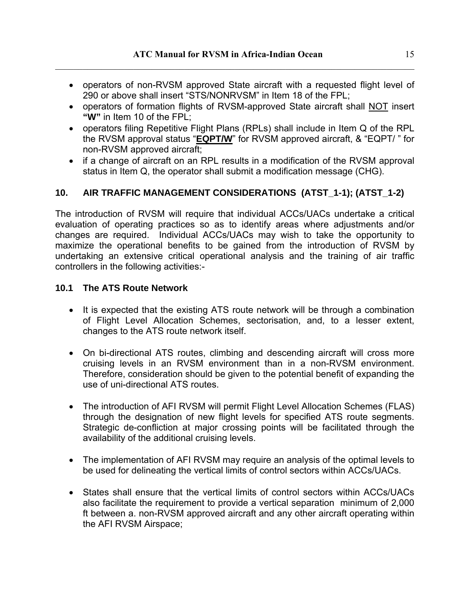- operators of non-RVSM approved State aircraft with a requested flight level of 290 or above shall insert "STS/NONRVSM" in Item 18 of the FPL;
- operators of formation flights of RVSM-approved State aircraft shall NOT insert **"W"** in Item 10 of the FPL;
- operators filing Repetitive Flight Plans (RPLs) shall include in Item Q of the RPL the RVSM approval status "**EQPT/W**" for RVSM approved aircraft, & "EQPT/ " for non-RVSM approved aircraft;
- if a change of aircraft on an RPL results in a modification of the RVSM approval status in Item Q, the operator shall submit a modification message (CHG).

#### **10. AIR TRAFFIC MANAGEMENT CONSIDERATIONS (ATST\_1-1); (ATST\_1-2)**

The introduction of RVSM will require that individual ACCs/UACs undertake a critical evaluation of operating practices so as to identify areas where adjustments and/or changes are required. Individual ACCs/UACs may wish to take the opportunity to maximize the operational benefits to be gained from the introduction of RVSM by undertaking an extensive critical operational analysis and the training of air traffic controllers in the following activities:-

#### **10.1 The ATS Route Network**

- It is expected that the existing ATS route network will be through a combination of Flight Level Allocation Schemes, sectorisation, and, to a lesser extent, changes to the ATS route network itself.
- On bi-directional ATS routes, climbing and descending aircraft will cross more cruising levels in an RVSM environment than in a non-RVSM environment. Therefore, consideration should be given to the potential benefit of expanding the use of uni-directional ATS routes.
- The introduction of AFI RVSM will permit Flight Level Allocation Schemes (FLAS) through the designation of new flight levels for specified ATS route segments. Strategic de-confliction at major crossing points will be facilitated through the availability of the additional cruising levels.
- The implementation of AFI RVSM may require an analysis of the optimal levels to be used for delineating the vertical limits of control sectors within ACCs/UACs.
- States shall ensure that the vertical limits of control sectors within ACCs/UACs also facilitate the requirement to provide a vertical separation minimum of 2,000 ft between a. non-RVSM approved aircraft and any other aircraft operating within the AFI RVSM Airspace;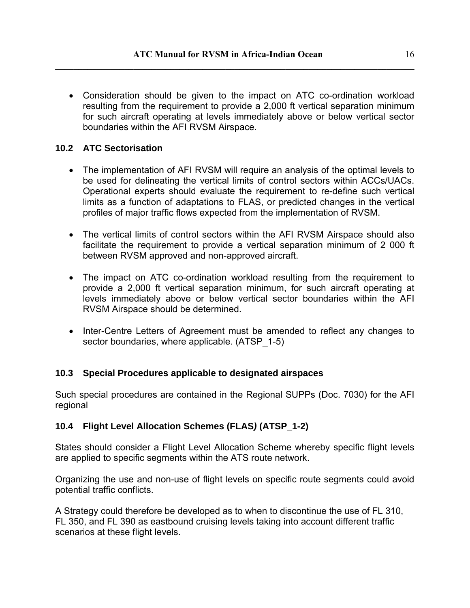• Consideration should be given to the impact on ATC co-ordination workload resulting from the requirement to provide a 2,000 ft vertical separation minimum for such aircraft operating at levels immediately above or below vertical sector boundaries within the AFI RVSM Airspace.

#### **10.2 ATC Sectorisation**

- The implementation of AFI RVSM will require an analysis of the optimal levels to be used for delineating the vertical limits of control sectors within ACCs/UACs. Operational experts should evaluate the requirement to re-define such vertical limits as a function of adaptations to FLAS, or predicted changes in the vertical profiles of major traffic flows expected from the implementation of RVSM.
- The vertical limits of control sectors within the AFI RVSM Airspace should also facilitate the requirement to provide a vertical separation minimum of 2 000 ft between RVSM approved and non-approved aircraft.
- The impact on ATC co-ordination workload resulting from the requirement to provide a 2,000 ft vertical separation minimum, for such aircraft operating at levels immediately above or below vertical sector boundaries within the AFI RVSM Airspace should be determined.
- Inter-Centre Letters of Agreement must be amended to reflect any changes to sector boundaries, where applicable. (ATSP\_1-5)

#### **10.3 Special Procedures applicable to designated airspaces**

Such special procedures are contained in the Regional SUPPs (Doc. 7030) for the AFI regional

#### **10.4 Flight Level Allocation Schemes (FLAS***)* **(ATSP\_1-2)**

States should consider a Flight Level Allocation Scheme whereby specific flight levels are applied to specific segments within the ATS route network.

Organizing the use and non-use of flight levels on specific route segments could avoid potential traffic conflicts.

A Strategy could therefore be developed as to when to discontinue the use of FL 310, FL 350, and FL 390 as eastbound cruising levels taking into account different traffic scenarios at these flight levels.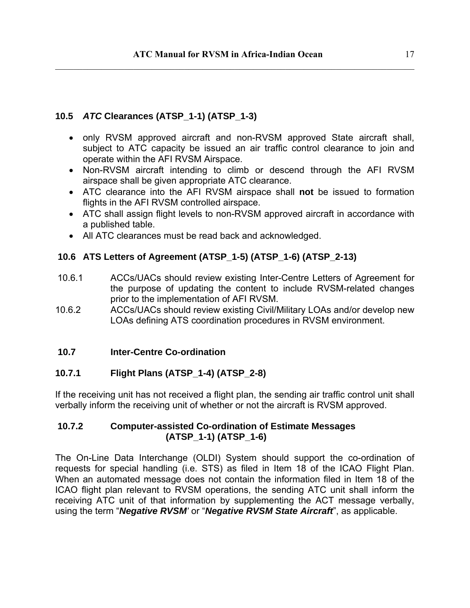### **10.5** *ATC* **Clearances (ATSP\_1-1) (ATSP\_1-3)**

- only RVSM approved aircraft and non-RVSM approved State aircraft shall, subject to ATC capacity be issued an air traffic control clearance to join and operate within the AFI RVSM Airspace.
- Non-RVSM aircraft intending to climb or descend through the AFI RVSM airspace shall be given appropriate ATC clearance.
- ATC clearance into the AFI RVSM airspace shall **not** be issued to formation flights in the AFI RVSM controlled airspace.
- ATC shall assign flight levels to non-RVSM approved aircraft in accordance with a published table.
- All ATC clearances must be read back and acknowledged.

## **10.6 ATS Letters of Agreement (ATSP\_1-5) (ATSP\_1-6) (ATSP\_2-13)**

- 10.6.1 ACCs/UACs should review existing Inter-Centre Letters of Agreement for the purpose of updating the content to include RVSM-related changes prior to the implementation of AFI RVSM.
- 10.6.2 ACCs/UACs should review existing Civil/Military LOAs and/or develop new LOAs defining ATS coordination procedures in RVSM environment.

#### **10.7 Inter-Centre Co-ordination**

#### **10.7.1 Flight Plans (ATSP\_1-4) (ATSP\_2-8)**

If the receiving unit has not received a flight plan, the sending air traffic control unit shall verbally inform the receiving unit of whether or not the aircraft is RVSM approved.

#### **10.7.2 Computer-assisted Co-ordination of Estimate Messages (ATSP\_1-1) (ATSP\_1-6)**

The On-Line Data Interchange (OLDI) System should support the co-ordination of requests for special handling (i.e. STS) as filed in Item 18 of the ICAO Flight Plan. When an automated message does not contain the information filed in Item 18 of the ICAO flight plan relevant to RVSM operations, the sending ATC unit shall inform the receiving ATC unit of that information by supplementing the ACT message verbally, using the term "*Negative RVSM'* or "*Negative RVSM State Aircraft*", as applicable.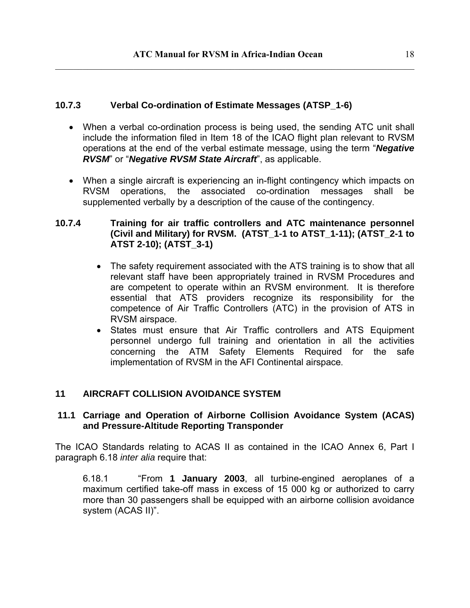#### **10.7.3 Verbal Co-ordination of Estimate Messages (ATSP\_1-6)**

- When a verbal co-ordination process is being used, the sending ATC unit shall include the information filed in Item 18 of the ICAO flight plan relevant to RVSM operations at the end of the verbal estimate message, using the term "*Negative RVSM*" or "*Negative RVSM State Aircraft*", as applicable.
- When a single aircraft is experiencing an in-flight contingency which impacts on RVSM operations, the associated co-ordination messages shall be supplemented verbally by a description of the cause of the contingency.

#### **10.7.4 Training for air traffic controllers and ATC maintenance personnel (Civil and Military) for RVSM. (ATST\_1-1 to ATST\_1-11); (ATST\_2-1 to ATST 2-10); (ATST\_3-1)**

- The safety requirement associated with the ATS training is to show that all relevant staff have been appropriately trained in RVSM Procedures and are competent to operate within an RVSM environment. It is therefore essential that ATS providers recognize its responsibility for the competence of Air Traffic Controllers (ATC) in the provision of ATS in RVSM airspace.
- States must ensure that Air Traffic controllers and ATS Equipment personnel undergo full training and orientation in all the activities concerning the ATM Safety Elements Required for the safe implementation of RVSM in the AFI Continental airspace.

#### **11 AIRCRAFT COLLISION AVOIDANCE SYSTEM**

#### **11.1 Carriage and Operation of Airborne Collision Avoidance System (ACAS) and Pressure-Altitude Reporting Transponder**

The ICAO Standards relating to ACAS II as contained in the ICAO Annex 6, Part I paragraph 6.18 *inter alia* require that:

6.18.1 "From **1 January 2003**, all turbine-engined aeroplanes of a maximum certified take-off mass in excess of 15 000 kg or authorized to carry more than 30 passengers shall be equipped with an airborne collision avoidance system (ACAS II)".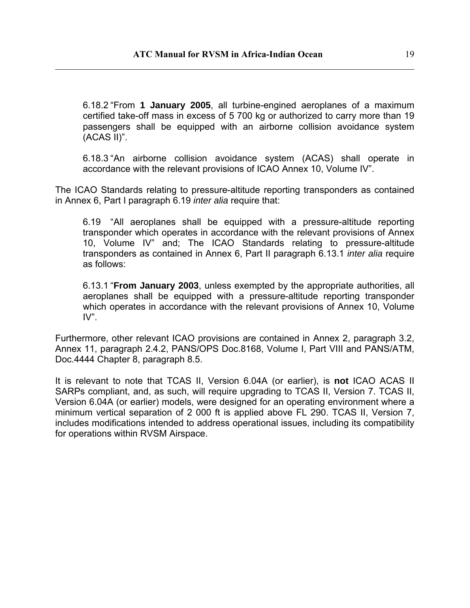6.18.2 "From **1 January 2005**, all turbine-engined aeroplanes of a maximum certified take-off mass in excess of 5 700 kg or authorized to carry more than 19 passengers shall be equipped with an airborne collision avoidance system (ACAS II)".

6.18.3 "An airborne collision avoidance system (ACAS) shall operate in accordance with the relevant provisions of ICAO Annex 10, Volume IV".

The ICAO Standards relating to pressure-altitude reporting transponders as contained in Annex 6, Part I paragraph 6.19 *inter alia* require that:

6.19 "All aeroplanes shall be equipped with a pressure-altitude reporting transponder which operates in accordance with the relevant provisions of Annex 10, Volume IV" and; The ICAO Standards relating to pressure-altitude transponders as contained in Annex 6, Part II paragraph 6.13.1 *inter alia* require as follows:

6.13.1 "**From January 2003**, unless exempted by the appropriate authorities, all aeroplanes shall be equipped with a pressure-altitude reporting transponder which operates in accordance with the relevant provisions of Annex 10, Volume IV".

Furthermore, other relevant ICAO provisions are contained in Annex 2, paragraph 3.2, Annex 11, paragraph 2.4.2, PANS/OPS Doc.8168, Volume I, Part VIII and PANS/ATM, Doc.4444 Chapter 8, paragraph 8.5.

It is relevant to note that TCAS II, Version 6.04A (or earlier), is **not** ICAO ACAS II SARPs compliant, and, as such, will require upgrading to TCAS II, Version 7. TCAS II, Version 6.04A (or earlier) models, were designed for an operating environment where a minimum vertical separation of 2 000 ft is applied above FL 290. TCAS II, Version 7, includes modifications intended to address operational issues, including its compatibility for operations within RVSM Airspace.